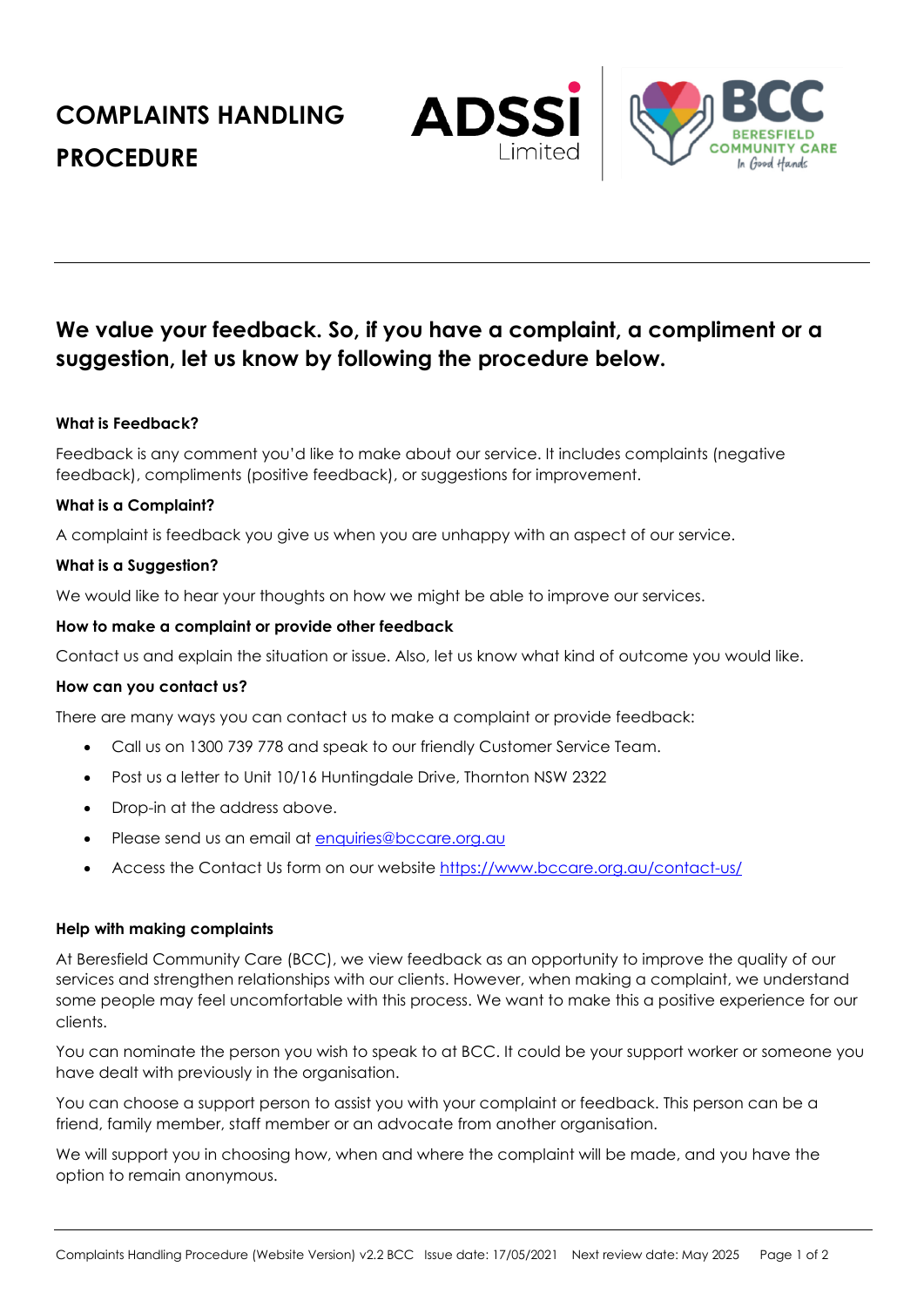**COMPLAINTS HANDLING PROCEDURE**





# **We value your feedback. So, if you have a complaint, a compliment or a suggestion, let us know by following the procedure below.**

# **What is Feedback?**

Feedback is any comment you'd like to make about our service. It includes complaints (negative feedback), compliments (positive feedback), or suggestions for improvement.

## **What is a Complaint?**

A complaint is feedback you give us when you are unhappy with an aspect of our service.

## **What is a Suggestion?**

We would like to hear your thoughts on how we might be able to improve our services.

## **How to make a complaint or provide other feedback**

Contact us and explain the situation or issue. Also, let us know what kind of outcome you would like.

## **How can you contact us?**

There are many ways you can contact us to make a complaint or provide feedback:

- Call us on 1300 739 778 and speak to our friendly Customer Service Team.
- Post us a letter to Unit 10/16 Huntingdale Drive, Thornton NSW 2322
- Drop-in at the address above.
- Please send us an email at enquiries@bccare.org.au
- Access the Contact Us form on our website https://www.bccare.org.au/contact-us/

## **Help with making complaints**

At Beresfield Community Care (BCC), we view feedback as an opportunity to improve the quality of our services and strengthen relationships with our clients. However, when making a complaint, we understand some people may feel uncomfortable with this process. We want to make this a positive experience for our clients.

You can nominate the person you wish to speak to at BCC. It could be your support worker or someone you have dealt with previously in the organisation.

You can choose a support person to assist you with your complaint or feedback. This person can be a friend, family member, staff member or an advocate from another organisation.

We will support you in choosing how, when and where the complaint will be made, and you have the option to remain anonymous.